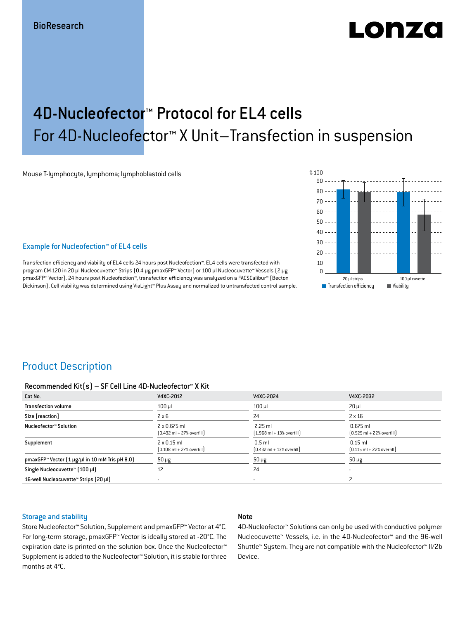# LONZO

## 4D-Nucleofector™ Protocol for EL4 cells For 4D-Nucleofector™ X Unit–Transfection in suspension

Mouse T-lymphocyte, lymphoma; lymphoblastoid cells

#### Example for Nucleofection™ of EL4 cells

Transfection efficiency and viability of EL4 cells 24 hours post Nucleofection™. EL4 cells were transfected with program CM-120 in 20 μl Nucleocuvette™ Strips (0.4 μg pmaxGFP™ Vector) or 100 μl Nucleocuvette™ Vessels (2 μg pmaxGFP™ Vector). 24 hours post Nucleofection™, transfection efficiency was analyzed on a FACSCalibur™ (Becton Dickinson). Cell viability was determined using ViaLight™ Plus Assay and normalized to untransfected control sample.



## Product Description

#### Recommended Kit(s) – SF Cell Line 4D-Nucleofector™ X Kit

| Cat No.                                                           | V4XC-2012                                                           | V4XC-2024                                                 | V4XC-2032                                                  |
|-------------------------------------------------------------------|---------------------------------------------------------------------|-----------------------------------------------------------|------------------------------------------------------------|
| <b>Transfection volume</b>                                        | $100$ $\mu$                                                         | $100$ $\mu$                                               | $20 \mu$                                                   |
| Size [reaction]                                                   | $2 \times 6$                                                        | 24                                                        | $2 \times 16$                                              |
| Nucleofector™ Solution                                            | $2 \times 0.675$ ml<br>$[0.492 \text{ ml} + 27\% \text{ overfill}]$ | $2.25$ ml<br>$(1.968 \text{ ml} + 13\% \text{ overfill})$ | $0.675$ ml<br>$[0.525 \text{ ml} + 22\% \text{ overfill}]$ |
| Supplement                                                        | $2 \times 0.15$ ml<br>$[0.108 \text{ ml} + 27\% \text{ overfill}]$  | $0.5$ ml<br>$[0.432 \text{ ml} + 13\% \text{ overfill}]$  | $0.15$ ml<br>$[0.115 \text{ ml} + 22\% \text{ overfill}]$  |
| pmaxGFP <sup>*</sup> Vector $[1 \mu g/\mu]$ in 10 mM Tris pH 8.0) | $50 \mu g$                                                          | $50 \mu g$                                                | $50 \mu g$                                                 |
| Single Nucleocuvette™ [100 µl]                                    | 12                                                                  | 24                                                        |                                                            |
| 16-well Nucleocuvette™ Strips (20 µl)                             |                                                                     | ۰                                                         |                                                            |

#### Storage and stability

#### Note

Store Nucleofector™ Solution, Supplement and pmaxGFP™ Vector at 4°C. For long-term storage, pmaxGFP™ Vector is ideally stored at -20°C. The expiration date is printed on the solution box. Once the Nucleofector™ Supplement is added to the Nucleofector™ Solution, it is stable for three months at 4°C.

4D-Nucleofector™ Solutions can only be used with conductive polymer Nucleocuvette™ Vessels, i.e. in the 4D-Nucleofector™ and the 96-well Shuttle™ System. They are not compatible with the Nucleofector™ II/2b Device.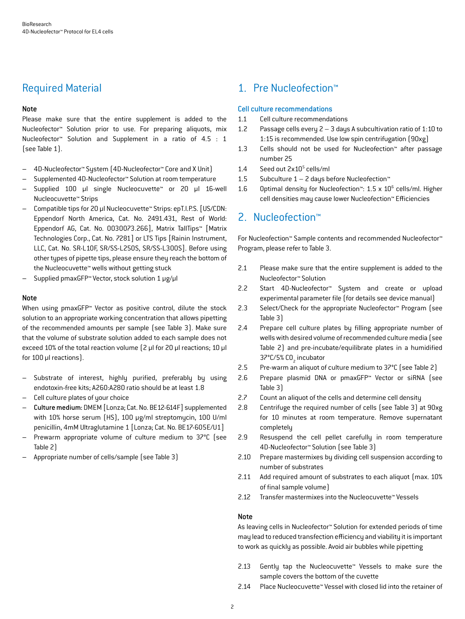## Required Material

## Note

Please make sure that the entire supplement is added to the Nucleofector™ Solution prior to use. For preparing aliquots, mix Nucleofector™ Solution and Supplement in a ratio of 4.5 : 1 (see Table 1).

- 4D-Nucleofector™ System (4D-Nucleofector™ Core and X Unit)
- Supplemented 4D-Nucleofector™ Solution at room temperature
- Supplied 100 µl single Nucleocuvette™ or 20 µl 16-well Nucleocuvette™ Strips
- Compatible tips for 20 µl Nucleocuvette™ Strips: epT.I.P.S. [US/CDN: Eppendorf North America, Cat. No. 2491.431, Rest of World: Eppendorf AG, Cat. No. 0030073.266], Matrix TallTips™ [Matrix Technologies Corp., Cat. No. 7281] or LTS Tips [Rainin Instrument, LLC, Cat. No. SR-L10F, SR/SS-L250S, SR/SS-L300S]. Before using other types of pipette tips, please ensure they reach the bottom of the Nucleocuvette™ wells without getting stuck
- Supplied pmaxGFP™ Vector, stock solution 1 μg/μl

## **Note**

When using pmaxGFP<sup>™</sup> Vector as positive control, dilute the stock solution to an appropriate working concentration that allows pipetting of the recommended amounts per sample (see Table 3). Make sure that the volume of substrate solution added to each sample does not exceed 10% of the total reaction volume (2 μl for 20 μl reactions; 10 μl for 100 μl reactions).

- Substrate of interest, highly purified, preferably by using endotoxin-free kits; A260:A280 ratio should be at least 1.8
- Cell culture plates of your choice
- Culture medium: DMEM [Lonza; Cat. No. BE12-614F] supplemented with 10% horse serum (HS), 100 μg/ml streptomycin, 100 U/ml penicillin, 4mM Ultraglutamine 1 [Lonza; Cat. No. BE17-605E/U1]
- Prewarm appropriate volume of culture medium to 37°C (see Table 2)
- Appropriate number of cells/sample (see Table 3)

## 1. Pre Nucleofection™

## Cell culture recommendations

- 1.1 Cell culture recommendations
- 1.2 Passage cells every 2 3 days A subcultivation ratio of 1:10 to 1:15 is recommended. Use low spin centrifugation (90xg)
- 1.3 Cells should not be used for Nucleofection™ after passage number 25
- 1.4 Seed out 2x10<sup>5</sup> cells/ml
- 1.5 Subculture  $1 2$  days before Nucleofection<sup>™</sup>
- 1.6 Optimal density for Nucleofection<sup>™</sup>: 1.5 x 10<sup>6</sup> cells/ml. Higher cell densities may cause lower Nucleofection™ Efficiencies

## 2. Nucleofection™

For Nucleofection™ Sample contents and recommended Nucleofector™ Program, please refer to Table 3.

- 2.1 Please make sure that the entire supplement is added to the Nucleofector™ Solution
- 2.2 Start 4D-Nucleofector™ System and create or upload experimental parameter file (for details see device manual)
- 2.3 Select/Check for the appropriate Nucleofector™ Program (see Table 3)
- 2.4 Prepare cell culture plates by filling appropriate number of wells with desired volume of recommended culture media (see Table 2) and pre-incubate/equilibrate plates in a humidified 37°C/5% CO<sub>2</sub> incubator
- 2.5 Pre-warm an aliquot of culture medium to 37°C (see Table 2)
- 2.6 Prepare plasmid DNA or pmaxGFP™ Vector or siRNA (see Table 3)
- 2.7 Count an aliquot of the cells and determine cell density
- 2.8 Centrifuge the required number of cells (see Table 3) at 90xg for 10 minutes at room temperature. Remove supernatant completely
- 2.9 Resuspend the cell pellet carefully in room temperature 4D-Nucleofector™ Solution (see Table 3)
- 2.10 Prepare mastermixes by dividing cell suspension according to number of substrates
- 2.11 Add required amount of substrates to each aliquot (max. 10% of final sample volume)
- 2.12 Transfer mastermixes into the Nucleocuvette™ Vessels

#### Note

As leaving cells in Nucleofector™ Solution for extended periods of time may lead to reduced transfection efficiency and viability it is important to work as quickly as possible. Avoid air bubbles while pipetting

- 2.13 Gently tap the Nucleocuvette™ Vessels to make sure the sample covers the bottom of the cuvette
- 2.14 Place Nucleocuvette™ Vessel with closed lid into the retainer of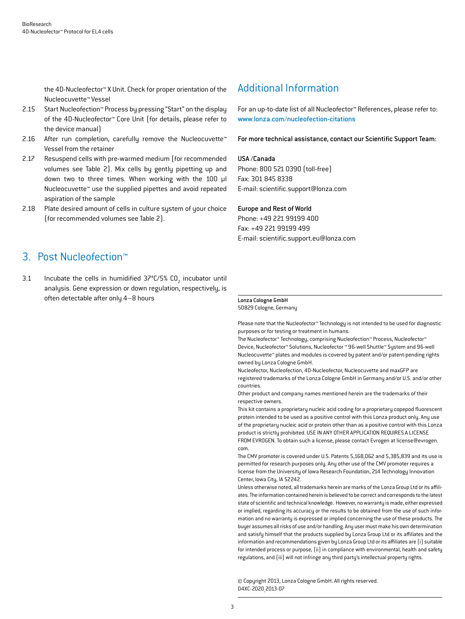the 4D-Nucleofector™ X Unit. Check for proper orientation of the Nucleocuvette™ Vessel

- 2.15 Start Nucleofection™ Process by pressing "Start" on the display of the 4D-Nucleofector™ Core Unit (for details, please refer to the device manual)
- 2.16 After run completion, carefully remove the Nucleocuvette™ Vessel from the retainer
- 2.17 Resuspend cells with pre-warmed medium (for recommended volumes see Table 2). Mix cells by gently pipetting up and down two to three times. When working with the 100 µl Nucleocuvette™ use the supplied pipettes and avoid repeated aspiration of the sample
- 2.18 Plate desired amount of cells in culture system of your choice (for recommended volumes see Table 2).

## Additional Information

For an up-to-date list of all Nucleofector™ References, please refer to: www.lonza.com/nucleofection-citations

For more technical assistance, contact our Scientific Support Team:

#### USA /Canada

Phone: 800 521 0390 (toll-free) Fax: 301 845 8338 E-mail: scientific.support@lonza.com

#### Europe and Rest of World

Phone: +49 221 99199 400 Fax: +49 221 99199 499 E-mail: scientific.support.eu@lonza.com

## 3. Post Nucleofection™

3.1 Incubate the cells in humidified  $37^{\circ}$ C/5% CO<sub>2</sub> incubator until analysis. Gene expression or down regulation, respectively, is often detectable after only 4–8 hours

## Lonza Cologne GmbH

50829 Cologne, Germany

Please note that the Nucleofector™ Technology is not intended to be used for diagnostic purposes or for testing or treatment in humans.

The Nucleofector™ Technology, comprising Nucleofection™ Process, Nucleofector™ Device, Nucleofector™ Solutions, Nucleofector ™ 96-well Shuttle™ System and 96-well Nucleocuvette™ plates and modules is covered by patent and/or patent-pending rights owned by Lonza Cologne GmbH.

Nucleofector, Nucleofection, 4D-Nucleofector, Nucleocuvette and maxGFP are registered trademarks of the Lonza Cologne GmbH in Germany and/or U.S. and/or other countries.

Other product and company names mentioned herein are the trademarks of their respective owners.

This kit contains a proprietary nucleic acid coding for a proprietary copepod fluorescent protein intended to be used as a positive control with this Lonza product only. Any use of the proprietary nucleic acid or protein other than as a positive control with this Lonza product is strictly prohibited. USE IN ANY OTHER APPLICATION REQUIRES A LICENSE FROM EVROGEN. To obtain such a license, please contact Evrogen at license@evrogen. com.

The CMV promoter is covered under U.S. Patents 5,168,062 and 5,385,839 and its use is permitted for research purposes only. Any other use of the CMV promoter requires a license from the University of Iowa Research Foundation, 214 Technology Innovation Center, Iowa City, IA 52242.

Unless otherwise noted, all trademarks herein are marks of the Lonza Group Ltd or its affiliates. The information contained herein is believed to be correct and corresponds to the latest state of scientific and technical knowledge. However, no warranty is made, either expressed or implied, regarding its accuracy or the results to be obtained from the use of such information and no warranty is expressed or implied concerning the use of these products. The buyer assumes all risks of use and/or handling. Any user must make his own determination and satisfy himself that the products supplied by Lonza Group Ltd or its affiliates and the information and recommendations given by Lonza Group Ltd or its affiliates are (i) suitable for intended process or purpose, (ii) in compliance with environmental, health and safety regulations, and (iii) will not infringe any third party's intellectual property rights.

© Copyright 2013, Lonza Cologne GmbH. All rights reserved. D4XC-2020\_2013-07